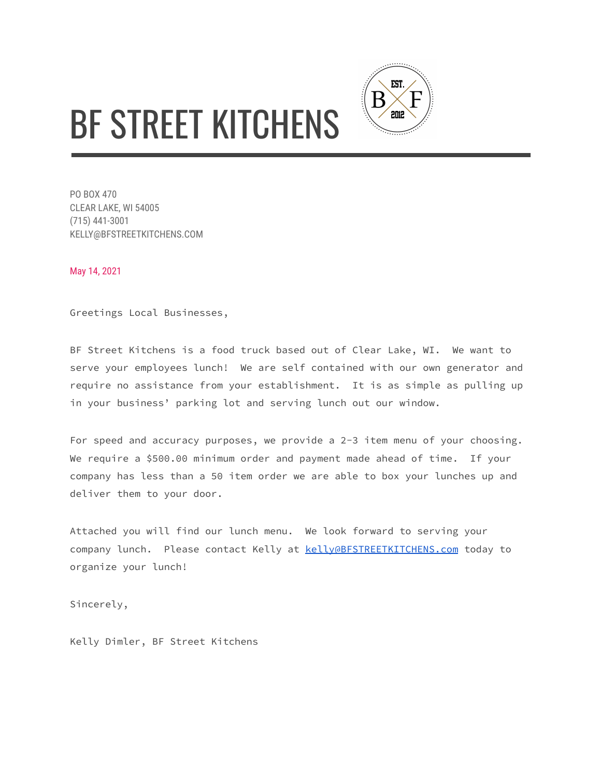## BF STREET KITCHENS



May 14, 2021

Greetings Local Businesses,

BF Street Kitchens is a food truck based out of Clear Lake, WI. We want to serve your employees lunch! We are self contained with our own generator and require no assistance from your establishment. It is as simple as pulling up in your business' parking lot and serving lunch out our window.

EST.

2012

B

For speed and accuracy purposes, we provide a 2-3 item menu of your choosing. We require a \$500.00 minimum order and payment made ahead of time. If your company has less than a 50 item order we are able to box your lunches up and deliver them to your door.

Attached you will find our lunch menu. We look forward to serving your company lunch. Please contact Kelly at **[kelly@BFSTREETKITCHENS.com](mailto:kelly@BFSTREETKITCHENS.com)** today to organize your lunch!

Sincerely,

Kelly Dimler, BF Street Kitchens